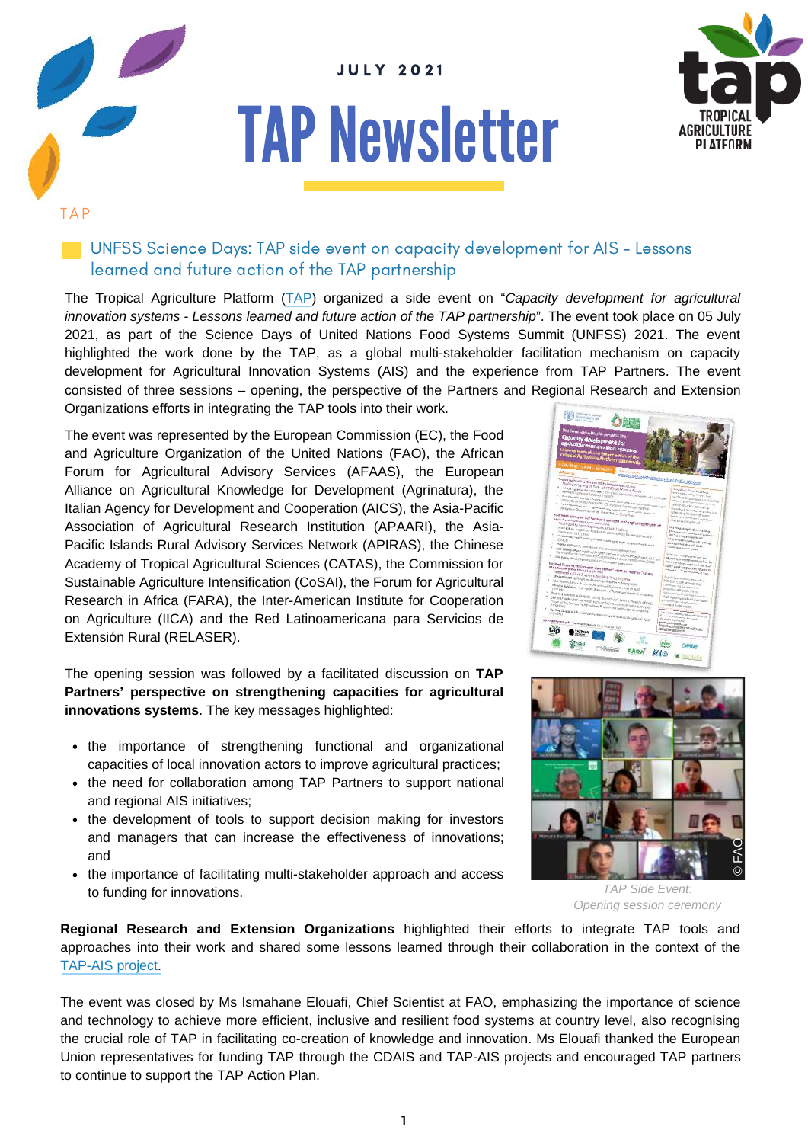

# **TAP Newsletter**



TAP

#### **UNFSS Science Days: TAP side event on capacity development for AIS - Lessons** learned and future action of the TAP partnership

The Tropical Agriculture Platform [\(TAP](http://www.fao.org/in-action/tropical-agriculture-platform/en/)) organized a side event on "*Capacity development for agricultural innovation systems - Lessons learned and future action of the TAP partnership*". The event took place on 05 July 2021, as part of the Science Days of United Nations Food Systems Summit (UNFSS) 2021. The event highlighted the work done by the TAP, as a global multi-stakeholder facilitation mechanism on capacity development for Agricultural Innovation Systems (AIS) and the experience from TAP Partners. The event consisted of three sessions – opening, the perspective of the Partners and Regional Research and Extension Organizations efforts in integrating the TAP tools into their work.

The event was represented by the European Commission (EC), the Food and Agriculture Organization of the United Nations (FAO), the African Forum for Agricultural Advisory Services (AFAAS), the European Alliance on Agricultural Knowledge for Development (Agrinatura), the Italian Agency for Development and Cooperation (AICS), the Asia-Pacific Association of Agricultural Research Institution (APAARI), the Asia-Pacific Islands Rural Advisory Services Network (APIRAS), the Chinese Academy of Tropical Agricultural Sciences (CATAS), the Commission for Sustainable Agriculture Intensification (CoSAI), the Forum for Agricultural Research in Africa (FARA), the Inter-American Institute for Cooperation on Agriculture (IICA) and the Red Latinoamericana para Servicios de Extensión Rural (RELASER).

The opening session was followed by a facilitated discussion on **TAP Partners' perspective on strengthening capacities for agricultural innovations systems**. The key messages highlighted:

- the importance of strengthening functional and organizational capacities of local innovation actors to improve agricultural practices;
- the need for collaboration among TAP Partners to support national and regional AIS initiatives;
- the development of tools to support decision making for investors and managers that can increase the effectiveness of innovations; and
- the importance of facilitating multi-stakeholder approach and access to funding for innovations.





*TAP Side Event: Opening session ceremony*

**Regional Research and Extension Organizations** highlighted their efforts to integrate TAP tools and approaches into their work and shared some lessons learned through their collaboration in the context of the [TAP-AIS](http://www.fao.org/in-action/tap-ais/en/) project.

The event was closed by Ms Ismahane Elouafi, Chief Scientist at FAO, emphasizing the importance of science and technology to achieve more efficient, inclusive and resilient food systems at country level, also recognising the crucial role of TAP in facilitating co-creation of knowledge and innovation. Ms Elouafi thanked the European Union representatives for funding TAP through the CDAIS and TAP-AIS projects and encouraged TAP partners to continue to support the TAP Action Plan.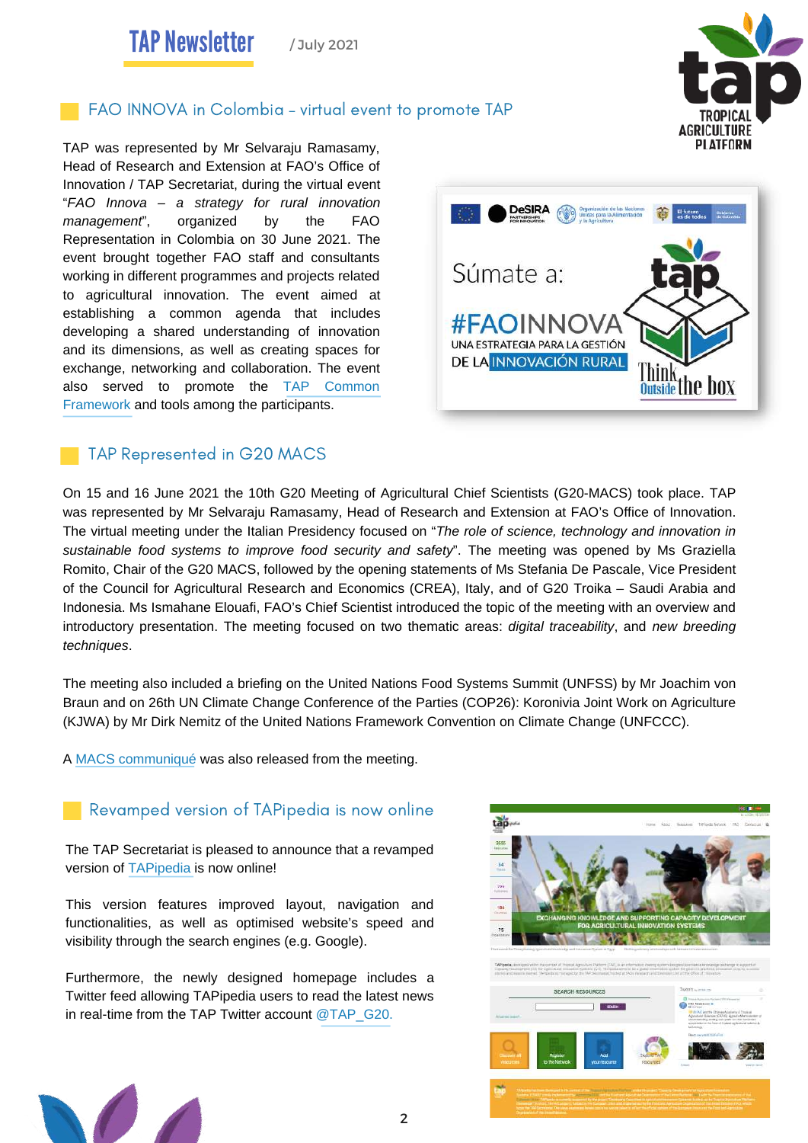TAP Newsletter / July 2021

# **[GCHE](https://www.gchera.com/)** FAO INNOVA in Colombia – virtual event to promote TAP

TAP was represented by Mr Selvaraju Ramasamy, Head of Research and Extension at FAO's Office of Innovation / TAP Secretariat, during the virtual event "*FAO Innova – a strategy for rural innovation management*", organized by the FAO Representation in Colombia on 30 June 2021. The event brought together FAO staff and consultants working in different programmes and projects related to agricultural innovation. The event aimed at establishing a common agenda that includes developing a shared understanding of innovation and its dimensions, as well as creating spaces for exchange, networking and collaboration. The event also served to promote the TAP Common [Framework](https://www.aesanetwork.org/wp-content/uploads/2021/04/Customization-of-NELK-Module-Facilitation-for-Development-in-Bangladesh-3.pdf) and tools among the part[icipants.](https://tapipedia.org/resources#tabs-0-contentmain1)

#### TAP Represented in G20 MACS

On 15 and 16 June 2021 the 10th G20 Meeting of Agricultural Chief Scientists (G20-MACS) took place. TAP was represented by Mr Selvaraju Ramasamy, Head of Research and Extension at FAO's Office of Innovation. The virtual meeting under the Italian Presidency focused on "*The role of science, technology and innovation in sustainable food systems to improve food security and safety*". The meeting was opened by Ms Graziella Romito, Chair of the G20 MACS, followed by the opening statements of Ms Stefania De Pascale, Vice President of the Council for Agricultural Research and Economics (CREA), Italy, and of G20 Troika – Saudi Arabia and Indonesia. Ms Ismahane Elouafi, FAO's Chief Scientist introduced the topic of the meeting with an overview and introductory presentation. The meeting focused on two thematic areas: *digital traceability*, and *new breeding techniques*.

The meeting also included a briefing on the United Nations Food Systems Summit (UNFSS) by Mr Joachim von Braun and on 26th UN Climate Change Conference of the Parties (COP26): Koronivia Joint Work on Agriculture (KJWA) by Mr Dirk Nemitz of the United Nations Framework Convention on Climate Change (UNFCCC).

2

A [MACS communiqué](https://www.macs-g20.org/fileadmin/macs/Annual_Meetings/2021_Italy/Documents/Communique.pdf) was also released from the meeting.

#### Revamped version of TAPipedia is now online

The TAP Secretariat is pleased to announce that a revamped version of [TAPipedia](https://www.tapipedia.org/) is now online!

This version features improved layout, navigation and functionalities, as well as optimised website's speed and visibility through the search engines (e.g. Google).

Furthermore, the newly designed homepage includes a Twitter feed allowing TAPipedia users to read the latest news in real-time from the TAP Twitter account  $@TAP$  G20.







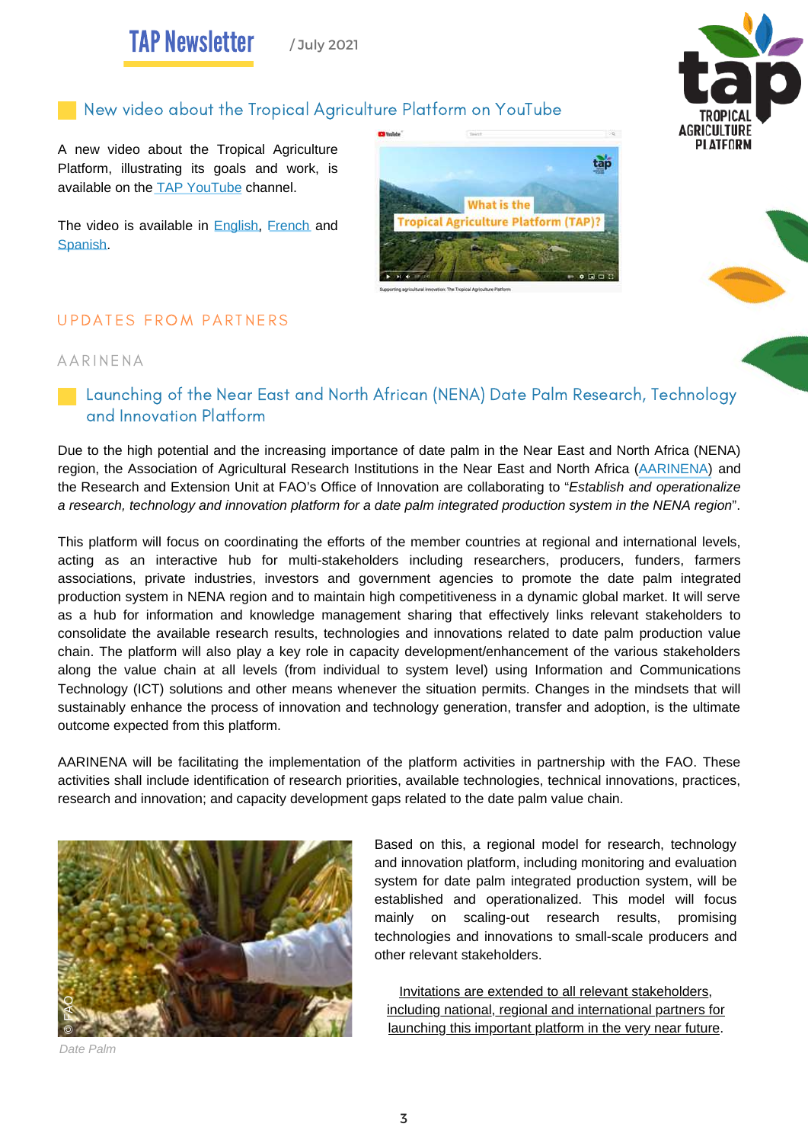# **[GCHE](https://www.gchera.com/)** New video about the Tropical Agriculture Platform on YouTube

A new video about the Tropical Agriculture Platform, illustrating its goals and work, is available on the [TAP YouTube channel](https://www.youtube.com/channel/UCrWocISg9V_HhKRah4O-ymg).

The video is available in **English**, [French](https://www.youtube.com/watch?v=wWxoeWL37Nc&t=27s) and [Spanish.](https://www.youtube.com/watch?v=uAqfx2fItTo&t=10s)



#### UPDATES FROM PARTNERS

#### AAR INENA

**Launching of the Near East and North African (NENA) Date Palm Research, Technology** and Innovation Platform

Due to the high potential and the increasing importance of date palm in the Near East and North Africa (NENA) region, the Association of Agricultural Research Institutions in the Near East and North Africa ([AARINENA\)](https://aarinena.org/) and the Research and Extension Unit at FAO's Office of Innovation are collaborating to "*Establish and operationalize* a research, technology and innovation platform for a date palm integrated production system in the NENA region".

This platform will focus on coordinating the efforts of the member countries at regional and international levels, acting as an interactive hub for multi-stakeholders including researchers, producers, funders, farmers associations, private industries, investors and government agencies to promote the date palm integrated production system in NENA region and to maintain high competitiveness in a dynamic global market. It will serve as a hub for information and knowledge management sharing that effectively links relevant stakeholders to consolidate the available research results, technologies and innovations related to date palm production value chain. The platform will also play a key role in capacity development/enhancement of the various stakeholders along the value chain at all levels (from individual to system level) using Information and Communications Technology (ICT) solutions and other means whenever the situation permits. Changes in the mindsets that will sustainably enhance the process of innovation and technology generation, transfer and adoption, is the ultimate outcome expected from this platform.

AARINENA will be facilitating the implementation of the platform activities in partnership with the FAO. These activities shall include identification of research priorities, available technologies, technical innovations, practices, research and innovation; and capacity development gaps related to the date palm value chain.



*Date Palm*

Based on this, a regional model for research, technology and innovation platform, including monitoring and evaluation system for date palm integrated production system, will be established and operationalized. This model will focus mainly on scaling-out research results, promising technologies and innovations to small-scale producers and other relevant stakeholders.

Invitations are extended to all relevant stakeholders, including national, regional and international partners for launching this important platform in the very near future.

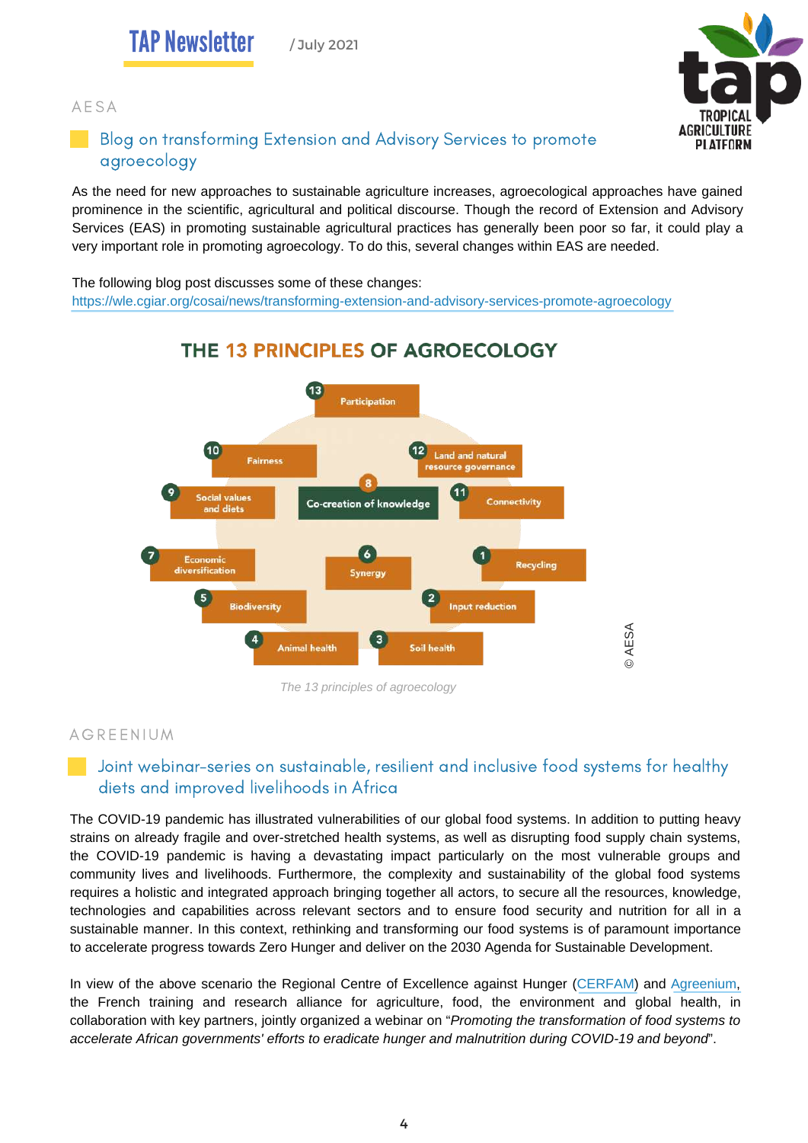#### AE SA



### Blog on transforming Extension and Advisory Services to promote agroecology

As the need for new approaches to sustainable agriculture increases, agroecological approaches have gained prominence in the scientific, agricultural and political discourse. Though the record of Extension and Advisory Services (EAS) in promoting sustainable agricultural practices has generally been poor so far, it could play a very important role in promoting agroecology. To do this, several changes within EAS are needed.

The following blog post discusses some of these changes: <https://wle.cgiar.org/cosai/news/transforming-extension-and-advisory-services-promote-agroecology>



## THE 13 PRINCIPLES OF AGROECOLOGY

*The 13 principles of agroecology*

#### **AGREENIUM**

#### Joint webinar-series on sustainable, resilient and inclusive food systems for healthy diets and improved livelihoods in Africa

The COVID-19 pandemic has illustrated vulnerabilities of our global food systems. In addition to putting heavy strains on already fragile and over-stretched health systems, as well as disrupting food supply chain systems, the COVID-19 pandemic is having a devastating impact particularly on the most vulnerable groups and community lives and livelihoods. Furthermore, the complexity and sustainability of the global food systems requires a holistic and integrated approach bringing together all actors, to secure all the resources, knowledge, technologies and capabilities across relevant sectors and to ensure food security and nutrition for all in a sustainable manner. In this context, rethinking and transforming our food systems is of paramount importance to accelerate progress towards Zero Hunger and deliver on the 2030 Agenda for Sustainable Development.

In view of the above scenario the Regional Centre of Excellence against Hunger [\(CERFAM\)](https://www.wfp.org/centre-of-excellence-against-hunger-malnutrition) and [Agreenium,](https://en.agreenium.fr/) the French training and research alliance for agriculture, food, the environment and global health, in collaboration with key partners, jointly organized a webinar on "*Promoting the transformation of food systems to accelerate African governments' efforts to eradicate hunger and malnutrition during COVID-19 and beyond*".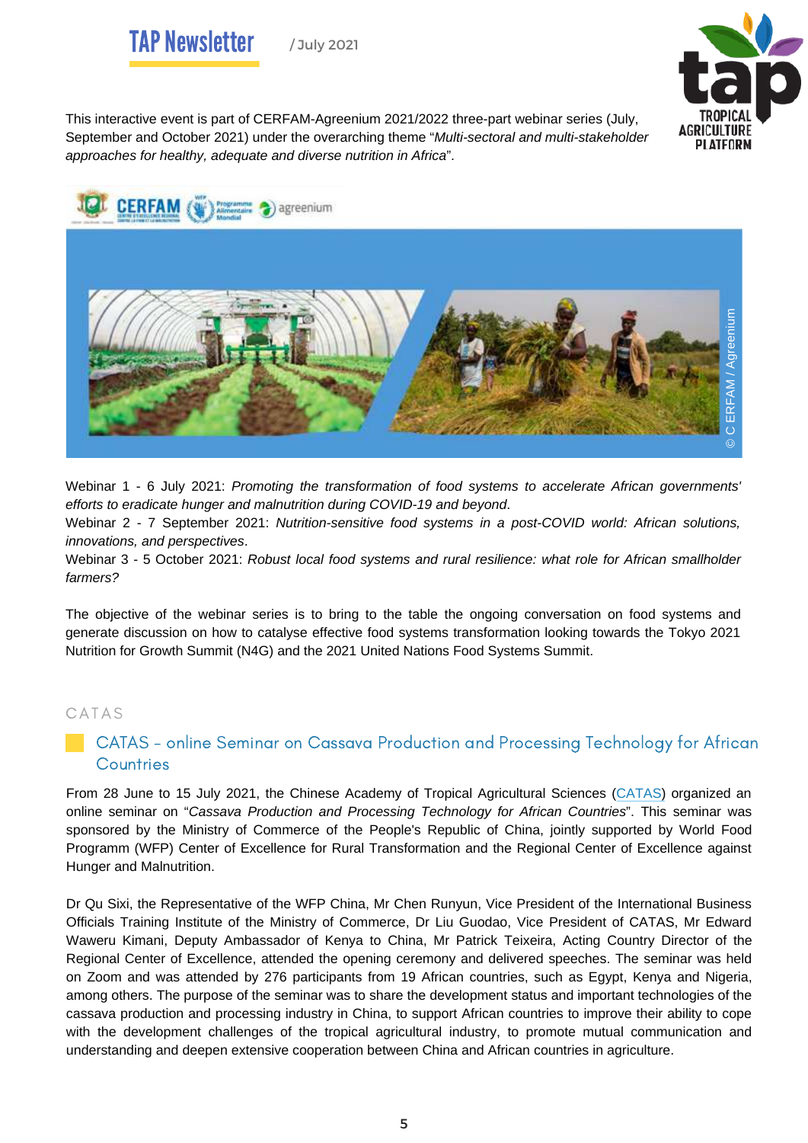



This interactive event is part of CERFAM-Agreenium 2021/2022 three-part webinar series (July, September and October 2021) under the overarching theme "*Multi-sectoral and multi-stakeholder approaches for healthy, adequate and diverse nutrition in Africa*".



Webinar 1 - 6 July 2021: *Promoting the transformation of food systems to accelerate African governments' efforts to eradicate hunger and malnutrition during COVID-19 and beyond*.

Webinar 2 - 7 September 2021: *Nutrition-sensitive food systems in a post-COVID world: African solutions, innovations, and perspectives*.

Webinar 3 - 5 October 2021: *Robust local food systems and rural resilience: what role for African smallholder farmers?*

The objective of the webinar series is to bring to the table the ongoing conversation on food systems and generate discussion on how to catalyse effective food systems transformation looking towards the Tokyo 2021 Nutrition for Growth Summit (N4G) and the 2021 United Nations Food Systems Summit.

#### C ATAS

#### **CATAS** - online Seminar on Cassava Production and Processing Technology for African **Countries**

From 28 June to 15 July 2021, the Chinese Academy of Tropical Agricultural Sciences [\(CATAS\)](http://www.catas.cn/en/) organized an online seminar on "*Cassava Production and Processing Technology for African Countries*". This seminar was sponsored by the Ministry of Commerce of the People's Republic of China, jointly supported by World Food Programm (WFP) Center of Excellence for Rural Transformation and the Regional Center of Excellence against Hunger and Malnutrition.

Dr Qu Sixi, the Representative of the WFP China, Mr Chen Runyun, Vice President of the International Business Officials Training Institute of the Ministry of Commerce, Dr Liu Guodao, Vice President of CATAS, Mr Edward Waweru Kimani, Deputy Ambassador of Kenya to China, Mr Patrick Teixeira, Acting Country Director of the Regional Center of Excellence, attended the opening ceremony and delivered speeches. The seminar was held on Zoom and was attended by 276 participants from 19 African countries, such as Egypt, Kenya and Nigeria, among others. The purpose of the seminar was to share the development status and important technologies of the cassava production and processing industry in China, to support African countries to improve their ability to cope with the development challenges of the tropical agricultural industry, to promote mutual communication and understanding and deepen extensive cooperation between China and African countries in agriculture.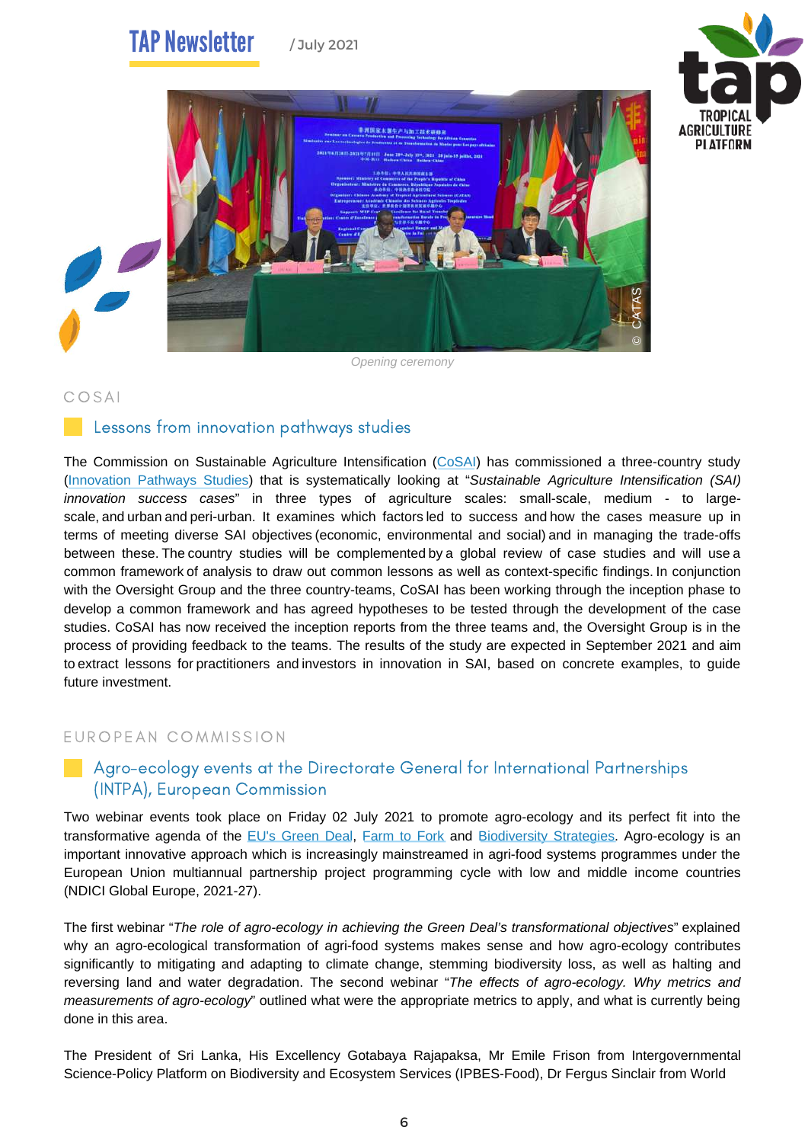#### **TAP Newsletter** / July 2021





*Opening ceremony*

#### COSAI

#### Lessons from innovation pathways studies

The Commission on Sustainable Agriculture Intensification ([CoSAI](https://wle.cgiar.org/cosai/)) has commissioned a three-country study [\(Innovation](https://wle.cgiar.org/cosai/pathways-for-innovation) Pathways Studies) that is systematically looking at "*Sustainable Agriculture Intensification (SAI) innovation success cases*" in three types of agriculture scales: small-scale, medium - to largescale, and urban and peri-urban. It examines which factors led to success and how the cases measure up in terms of meeting diverse SAI objectives (economic, environmental and social) and in managing the trade-offs between these. The country studies will be complemented by a global review of case studies and will use a common framework of analysis to draw out common lessons as well as context-specific findings. In conjunction with the Oversight Group and the three country-teams, CoSAI has been working through the inception phase to develop a common framework and has agreed hypotheses to be tested through the development of the case studies. CoSAI has now received the inception reports from the three teams and, the Oversight Group is in the process of providing feedback to the teams. The results of the study are expected in September 2021 and aim to extract lessons for practitioners and investors in innovation in SAI, based on concrete examples, to guide future investment.

#### EUROPEAN COMMISSION

#### Agro-ecology events at the Directorate General for International Partnerships (INTPA), European Commission

Two webinar events took place on Friday 02 July 2021 to promote agro-ecology and its perfect fit into the transformative agenda of the EU's [Green](https://ec.europa.eu/info/strategy/priorities-2019-2024/european-green-deal_en) Deal, [Farm](https://ec.europa.eu/food/horizontal-topics/farm-fork-strategy_en) to Fork and [Biodiversity](https://www.eea.europa.eu/policy-documents/eu-biodiversity-strategy-for-2030-1) Strategies. Agro-ecology is an important innovative approach which is increasingly mainstreamed in agri-food systems programmes under the European Union multiannual partnership project programming cycle with low and middle income countries (NDICI Global Europe, 2021-27).

The first webinar "*The role of agro-ecology in achieving the Green Deal's transformational objectives*" explained why an agro-ecological transformation of agri-food systems makes sense and how agro-ecology contributes significantly to mitigating and adapting to climate change, stemming biodiversity loss, as well as halting and reversing land and water degradation. The second webinar "*The effects of agro-ecology. Why metrics and measurements of agro-ecology*" outlined what were the appropriate metrics to apply, and what is currently being done in this area.

The President of Sri Lanka, His Excellency Gotabaya Rajapaksa, Mr Emile Frison from Intergovernmental Science-Policy Platform on Biodiversity and Ecosystem Services (IPBES-Food), Dr Fergus Sinclair from World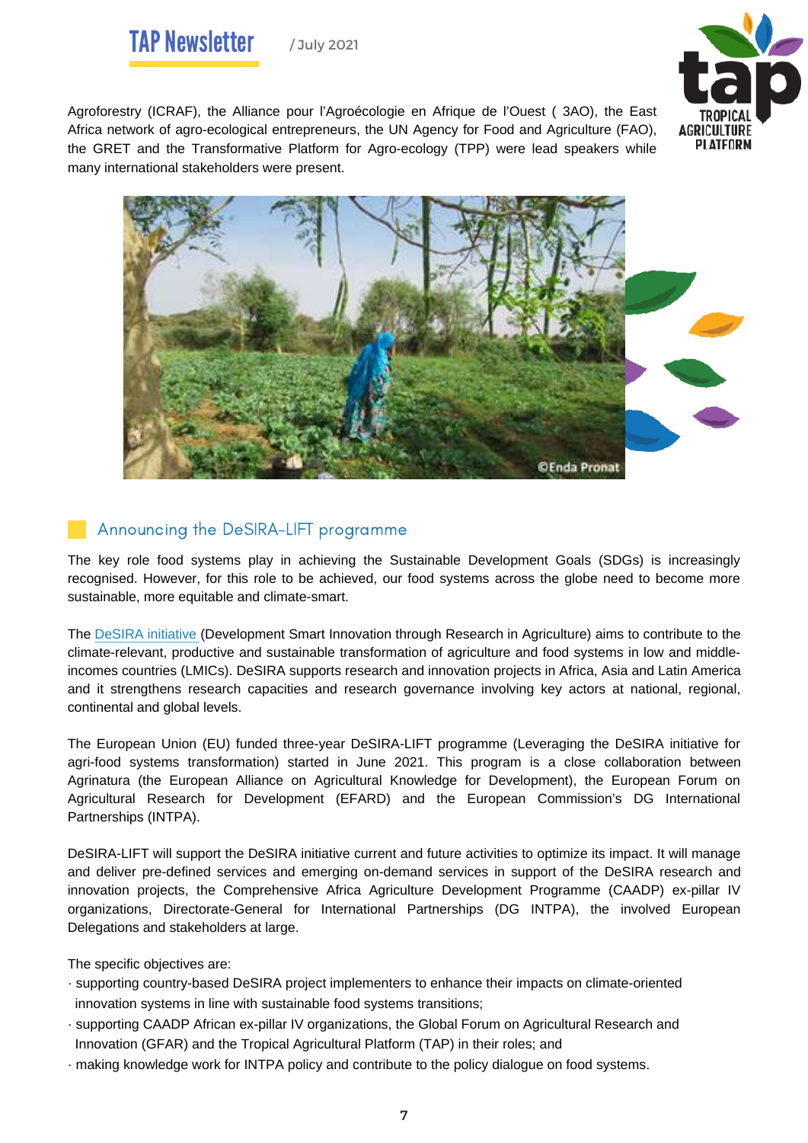

Agroforestry (ICRAF), the Alliance pour l'Agroécologie en Afrique de l'Ouest ( 3AO), the East Africa network of agro-ecological entrepreneurs, the UN Agency for Food and Agriculture (FAO), the GRET and the Transformative Platform for Agro-ecology (TPP) were lead speakers while many international stakeholders were present.



#### Announcing the DeSIRA-LIFT programme

The key role food systems play in achieving the Sustainable Development Goals (SDGs) is increasingly recognised. However, for this role to be achieved, our food systems across the globe need to become more sustainable, more equitable and climate-smart.

The DeSIRA [initiative](https://europa.eu/capacity4dev/desira) (Development Smart Innovation through Research in Agriculture) aims to contribute to the climate-relevant, productive and sustainable transformation of agriculture and food systems in low and middleincomes countries (LMICs). DeSIRA supports research and innovation projects in Africa, Asia and Latin America and it strengthens research capacities and research governance involving key actors at national, regional, continental and global levels.

The European Union (EU) funded three-year DeSIRA-LIFT programme (Leveraging the DeSIRA initiative for agri-food systems transformation) started in June 2021. This program is a close collaboration between Agrinatura (the European Alliance on Agricultural Knowledge for Development), the European Forum on Agricultural Research for Development (EFARD) and the European Commission's DG International Partnerships (INTPA).

DeSIRA-LIFT will support the DeSIRA initiative current and future activities to optimize its impact. It will manage and deliver pre-defined services and emerging on-demand services in support of the DeSIRA research and innovation projects, the Comprehensive Africa Agriculture Development Programme (CAADP) ex-pillar IV organizations, Directorate-General for International Partnerships (DG INTPA), the involved European Delegations and stakeholders at large.

The specific objectives are:

- · supporting country-based DeSIRA project implementers to enhance their impacts on climate-oriented innovation systems in line with sustainable food systems transitions;
- · supporting CAADP African ex-pillar IV organizations, the Global Forum on Agricultural Research and Innovation (GFAR) and the Tropical Agricultural Platform (TAP) in their roles; and
- · making knowledge work for INTPA policy and contribute to the policy dialogue on food systems.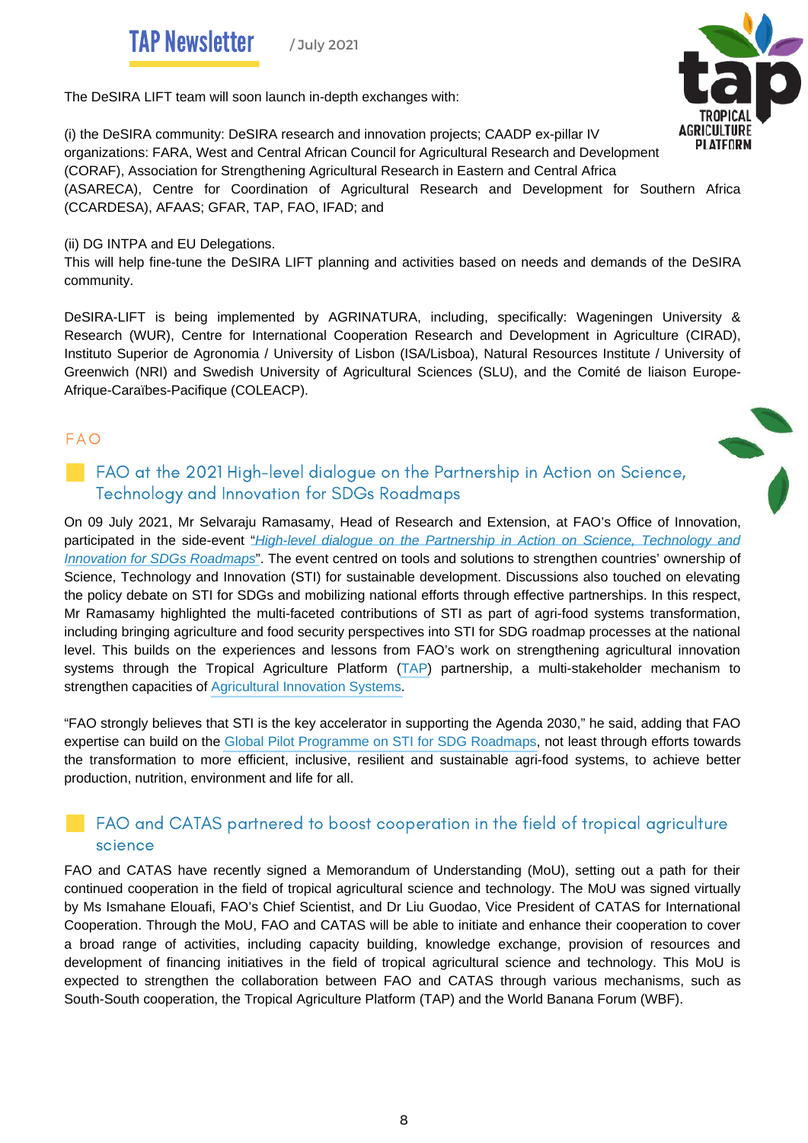**TAP Newsletter** 

/ July 2021



The DeSIRA LIFT team will soon launch in-depth exchanges with:

(i) the DeSIRA community: DeSIRA research and innovation projects; CAADP ex-pillar IV organizations: FARA, West and Central African Council for Agricultural Research and Development (CORAF), Association for Strengthening Agricultural Research in Eastern and Central Africa (ASARECA), Centre for Coordination of Agricultural Research and Development for Southern Africa (CCARDESA), AFAAS; GFAR, TAP, FAO, IFAD; and

(ii) DG INTPA and EU Delegations.

This will help fine-tune the DeSIRA LIFT planning and activities based on needs and demands of the DeSIRA community.

DeSIRA-LIFT is being implemented by AGRINATURA, including, specifically: Wageningen University & Research (WUR), Centre for International Cooperation Research and Development in Agriculture (CIRAD), Instituto Superior de Agronomia / University of Lisbon (ISA/Lisboa), Natural Resources Institute / University of Greenwich (NRI) and Swedish University of Agricultural Sciences (SLU), and the Comité de liaison Europe-Afrique-Caraïbes-Pacifique (COLEACP).

#### FAO

#### FAO at the 2021 High-level dialogue on the Partnership in Action on Science, Technology and Innovation for SDGs Roadmaps

On 09 July 2021, Mr Selvaraju Ramasamy, Head of Research and Extension, at FAO's Office of Innovation, participated in the side-event "*High-level dialogue on the Partnership in Action on Science, [Technology](https://sustainabledevelopment.un.org/index.php?page=view&type=20000&nr=7316&menu=2993) and Innovation for SDGs [Roadmaps](https://sustainabledevelopment.un.org/index.php?page=view&type=20000&nr=7316&menu=2993)*". The event centred on tools and solutions to strengthen countries' ownership of Science, Technology and Innovation (STI) for sustainable development. Discussions also touched on elevating the policy debate on STI for SDGs and mobilizing national efforts through effective partnerships. In this respect, Mr Ramasamy highlighted the multi-faceted contributions of STI as part of agri-food systems transformation, including bringing agriculture and food security perspectives into STI for SDG roadmap processes at the national level. This builds on the experiences and lessons from FAO's work on strengthening agricultural innovation systems through the Tropical Agriculture Platform [\(TAP\)](http://www.fao.org/in-action/tropical-agriculture-platform/en/) partnership, a multi-stakeholder mechanism to strengthen capacities of [Agricultural](http://www.fao.org/in-action/tropical-agriculture-platform/background/ais-a-new-take-on-innovation/en/) Innovation Systems.

"FAO strongly believes that STI is the key accelerator in supporting the Agenda 2030," he said, adding that FAO expertise can build on the Global Pilot [Programme](https://sustainabledevelopment.un.org/partnership/?p=33852) on STI for SDG Roadmaps, not least through efforts towards the transformation to more efficient, inclusive, resilient and sustainable agri-food systems, to achieve better production, nutrition, environment and life for all.

### FAO and CATAS partnered to boost cooperation in the field of tropical agriculture science

FAO and CATAS have recently signed a Memorandum of Understanding (MoU), setting out a path for their continued cooperation in the field of tropical agricultural science and technology. The MoU was signed virtually by Ms Ismahane Elouafi, FAO's Chief Scientist, and Dr Liu Guodao, Vice President of CATAS for International Cooperation. Through the MoU, FAO and CATAS will be able to initiate and enhance their cooperation to cover a broad range of activities, including capacity building, knowledge exchange, provision of resources and development of financing initiatives in the field of tropical agricultural science and technology. This MoU is expected to strengthen the collaboration between FAO and CATAS through various mechanisms, such as South-South cooperation, the Tropical Agriculture Platform (TAP) and the World Banana Forum (WBF).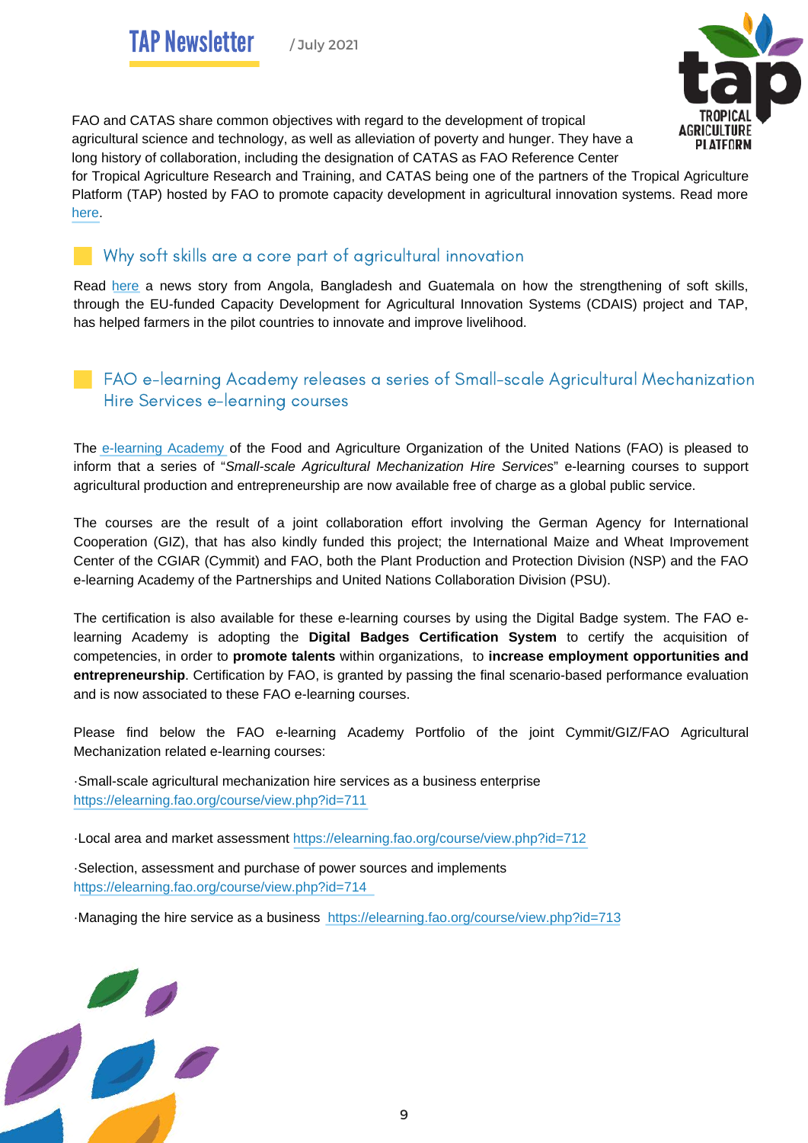

FAO and CATAS share common objectives with regard to the development of tropical agricultural science and technology, as well as alleviation of poverty and hunger. They have a long history of collaboration, including the designation of CATAS as FAO Reference Center

for Tropical Agriculture Research and Training, and CATAS being one of the partners of the Tropical Agriculture Platform (TAP) hosted by FAO to promote capacity development in agricultural innovation systems. Read more [here](http://www.fao.org/news/story/en/item/1416650/icode/).

#### Why soft skills are a core part of agricultural innovation

Read [here](http://www.fao.org/fao-stories/article/en/c/1414446/) a news story from Angola, Bangladesh and Guatemala on how the strengthening of soft skills, through the EU-funded Capacity Development for Agricultural Innovation Systems (CDAIS) project and TAP, has helped farmers in the pilot countries to innovate and improve livelihood.

#### FAO e-learning Academy releases a series of Small-scale Agricultural Mechanization Hire Services e-learning courses

The [e-learning](https://elearning.fao.org/) Academy of the Food and Agriculture Organization of the United Nations (FAO) is pleased to inform that a series of "*Small-scale Agricultural Mechanization Hire Services*" e-learning courses to support agricultural production and entrepreneurship are now available free of charge as a global public service.

The courses are the result of a joint collaboration effort involving the German Agency for International Cooperation (GIZ), that has also kindly funded this project; the International Maize and Wheat Improvement Center of the CGIAR (Cymmit) and FAO, both the Plant Production and Protection Division (NSP) and the FAO e-learning Academy of the Partnerships and United Nations Collaboration Division (PSU).

The certification is also available for these e-learning courses by using the Digital Badge system. The FAO elearning Academy is adopting the **Digital Badges Certification System** to certify the acquisition of competencies, in order to **promote talents** within organizations, to **increase employment opportunities and entrepreneurship**. Certification by FAO, is granted by passing the final scenario-based performance evaluation and is now associated to these FAO e-learning courses.

Please find below the FAO e-learning Academy Portfolio of the joint Cymmit/GIZ/FAO Agricultural Mechanization related e-learning courses:

·Small-scale agricultural mechanization hire services as a business enterprise <https://elearning.fao.org/course/view.php?id=711>

·Local area and market assessment<https://elearning.fao.org/course/view.php?id=712>

·Selection, assessment and purchase of power sources and implements <https://elearning.fao.org/course/view.php?id=714>

·Managing the hire service as a business <https://elearning.fao.org/course/view.php?id=713>

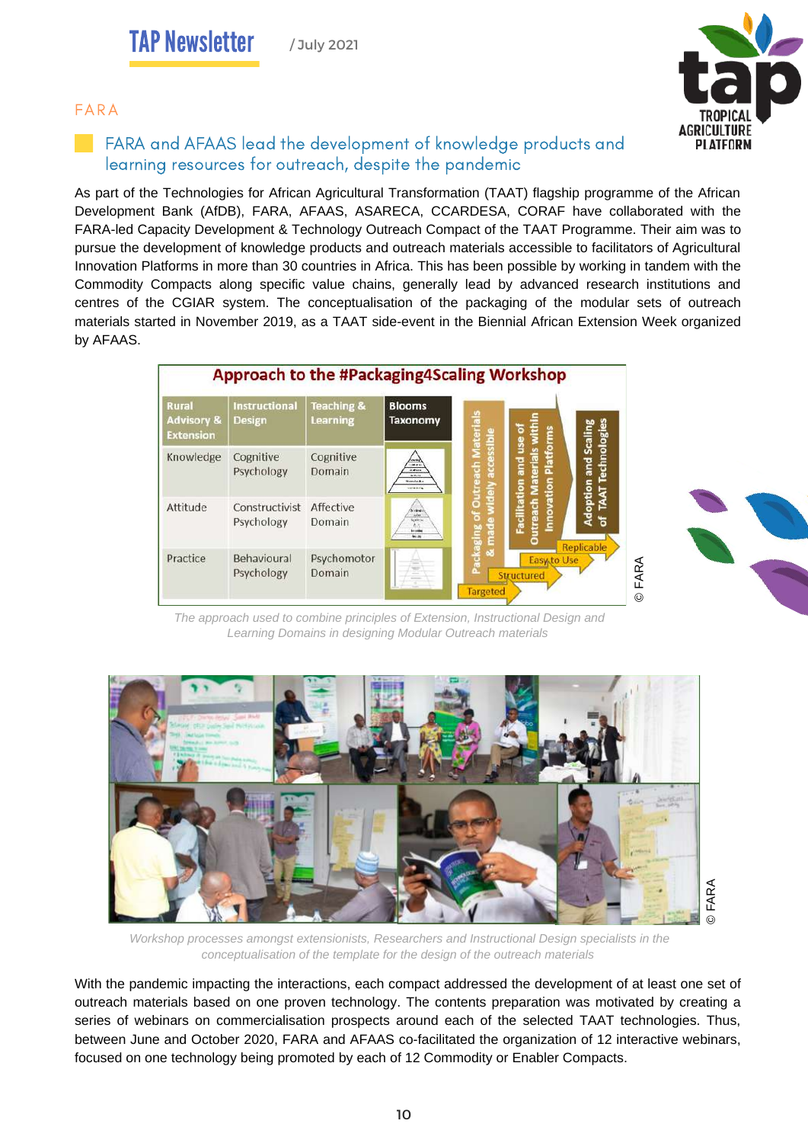#### FARA



#### FARA and AFAAS lead the development of knowledge products and learning resources for outreach, despite the pandemic

As part of the Technologies for African Agricultural Transformation (TAAT) flagship programme of the African Development Bank (AfDB), FARA, AFAAS, ASARECA, CCARDESA, CORAF have collaborated with the FARA-led Capacity Development & Technology Outreach Compact of the TAAT Programme. Their aim was to pursue the development of knowledge products and outreach materials accessible to facilitators of Agricultural Innovation Platforms in more than 30 countries in Africa. This has been possible by working in tandem with the Commodity Compacts along specific value chains, generally lead by advanced research institutions and centres of the CGIAR system. The conceptualisation of the packaging of the modular sets of outreach materials started in November 2019, as a TAAT side-event in the Biennial African Extension Week organized by AFAAS.

| <b>Rural</b><br><b>Advisory &amp;</b><br><b>Extension</b> | <b>Instructional</b><br><b>Design</b> | <b>Teaching &amp;</b><br>Learning | <b>Blooms</b><br>Taxonomy                                                        | terials               |                                                                |                                             |  |
|-----------------------------------------------------------|---------------------------------------|-----------------------------------|----------------------------------------------------------------------------------|-----------------------|----------------------------------------------------------------|---------------------------------------------|--|
| Knowledge                                                 | Cognitive<br>Psychology               | Cognitive<br>Domain               | $-46.96$<br>de abasia<br>Variation.<br><b>Monda</b> Av<br><b>Installation</b>    | essible<br>ă<br>5     | aterials within<br>Facilitation and use of<br><b>Platforms</b> | Technologies<br><b>Adoption and Scaling</b> |  |
| Attitude                                                  | Constructivist<br>Psychology          | Affective<br>Domain               | <b>Alidendo</b><br>Links.<br>Spelt in<br>h.r.<br><b>brombe</b><br>$\overline{M}$ | ridely<br>Ĕ<br>둖      | Innovation<br>utreach<br>o                                     | <b>TAAT</b><br>៵                            |  |
| Practice                                                  | Behavioural<br>Psychology             | Psychomotor<br>Domain             |                                                                                  | o3<br><b>Targeted</b> | <b>Structured</b>                                              | <b>Replicable</b><br>Easy to Use            |  |

*The approach used to combine principles of Extension, Instructional Design and Learning Domains in designing Modular Outreach materials*



*Workshop processes amongst extensionists, Researchers and Instructional Design specialists in the conceptualisation of the template for the design of the outreach materials*

With the pandemic impacting the interactions, each compact addressed the development of at least one set of outreach materials based on one proven technology. The contents preparation was motivated by creating a series of webinars on commercialisation prospects around each of the selected TAAT technologies. Thus, between June and October 2020, FARA and AFAAS co-facilitated the organization of 12 interactive webinars, focused on one technology being promoted by each of 12 Commodity or Enabler Compacts.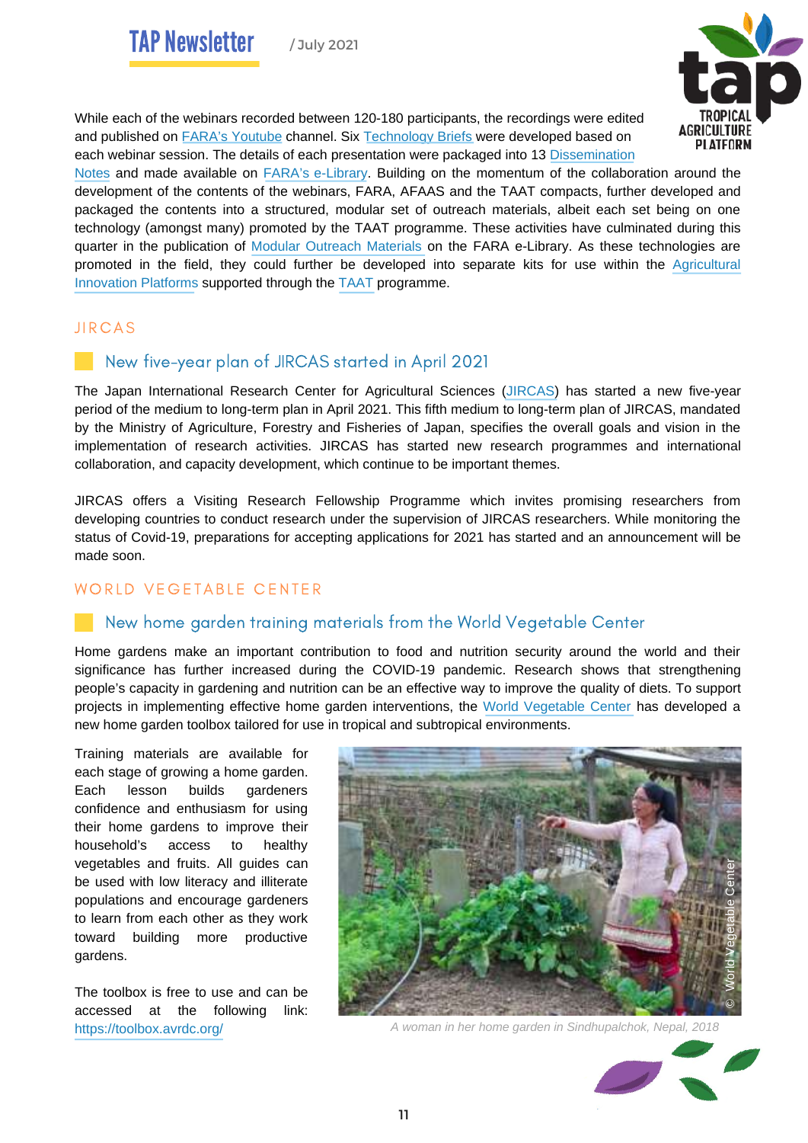

While each of the webinars recorded between 120-180 participants, the recordings were edited and published on FARA's [Youtube](https://www.youtube.com/playlist?list=PLdzeYlefNGYtRocnuYCMAtvIEUKQ1MfFH) [channel.](https://www.youtube.com/playlist?list=PLdzeYlefNGYtRocnuYCMAtvIEUKQ1MfFH) Six [Technology](https://library.faraafrica.org/technologies/) Briefs were developed based on each webinar session. The details of each presentation were packaged into 13 [Dissemination](https://library.faraafrica.org/dissemination-notes/)

[Notes](https://library.faraafrica.org/dissemination-notes/) and made available on FARA's [e-Library](https://library.faraafrica.org/). Building on the momentum of the collaboration around the development of the contents of the webinars, FARA, AFAAS and the TAAT compacts, further developed and packaged the contents into a structured, modular set of outreach materials, albeit each set being on one technology (amongst many) promoted by the TAAT programme. These activities have culminated during this quarter in the publication of Modular [Outreach](https://library.faraafrica.org/2021/06/30/modular-outreach-materials-for-capacity-development-initiatives-in-taat-compacts/) Materials on the FARA [e-Library](https://library.faraafrica.org/). As these technologies are promoted in the field, they could further be developed into separate kits for use within the [Agricultural](https://aarinena.org/) [Innovation](http://www.ipabp.org/) Platforms supported through the [TAAT](https://www.taat-africa.org/) [programme.](http://www.ipabp.org/)

#### **JIRCAS**

#### New five-year plan of JIRCAS started in April 2021

The Japan International Research Center for Agricultural Sciences [\(JIRCAS\)](https://www.jircas.go.jp/en) has started a new five-year period of the medium to long-term plan in April 2021. This fifth medium to long-term plan of JIRCAS, mandated by the Ministry of Agriculture, Forestry and Fisheries of Japan, specifies the overall goals and vision in the implementation of research activities. JIRCAS has started new research programmes and international collaboration, and capacity development, which continue to be important themes.

JIRCAS offers a Visiting Research Fellowship Programme which invites promising researchers from developing countries to conduct research under the supervision of JIRCAS researchers. While monitoring the status of Covid-19, preparations for accepting applications for 2021 has started and an announcement will be made soon.

#### WORLD VEGETABLE CENTER

#### New home garden training materials from the World Vegetable Center

Home gardens make an important contribution to food and nutrition security around the world and their significance has further increased during the COVID-19 pandemic. Research shows that strengthening people's capacity in gardening and nutrition can be an effective way to improve the quality of diets. To support projects in implementing effective home garden interventions, the World [Vegetable](https://avrdc.org/) Center has developed a new home garden toolbox tailored for use in tropical and subtropical environments.

Training materials are available for each stage of growing a home garden. Each lesson builds gardeners confidence and enthusiasm for using their home gardens to improve their household's access to healthy vegetables and fruits. All guides can be used with low literacy and illiterate populations and encourage gardeners to learn from each other as they work toward building more productive gardens.

The toolbox is free to use and can be accessed at the following link:



<https://toolbox.avrdc.org/> *A woman in her home garden in Sindhupalchok, Nepal, 2018*

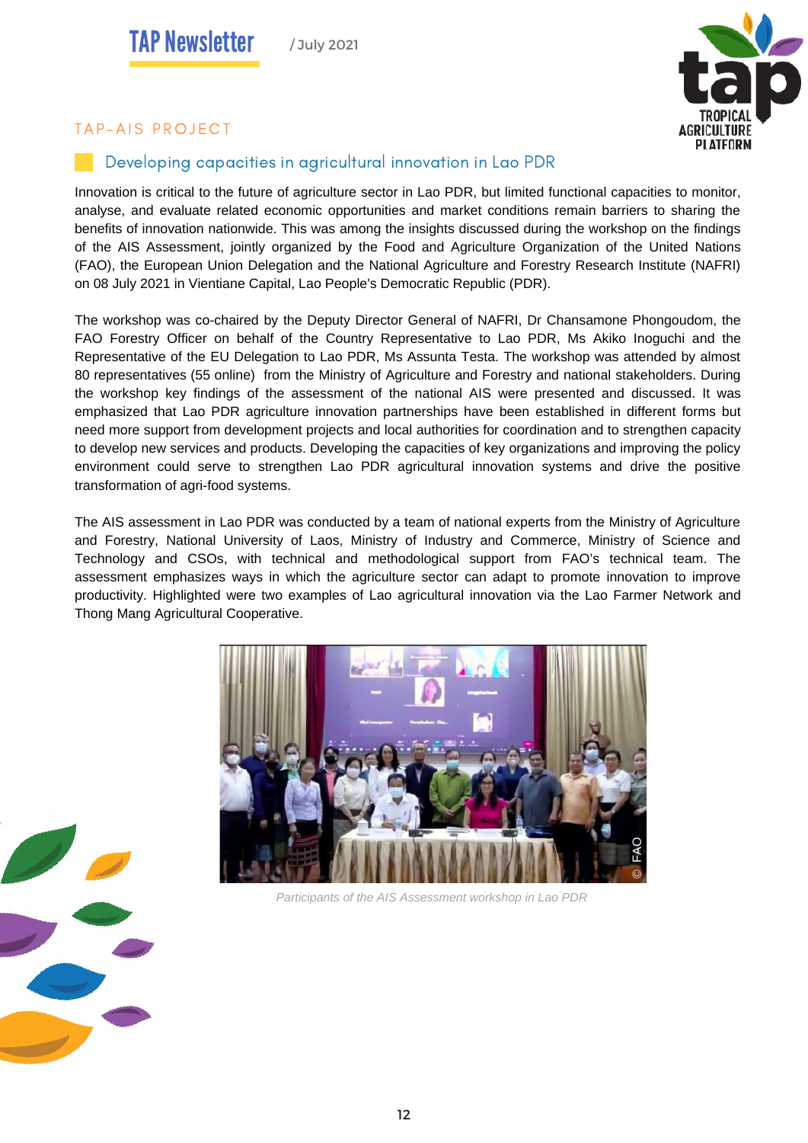

#### TAP-AIS PROJECT

#### Developing capacities in agricultural innovation in Lao PDR

Innovation is critical to the future of agriculture sector in Lao PDR, but limited functional capacities to monitor, analyse, and evaluate related economic opportunities and market conditions remain barriers to sharing the benefits of innovation nationwide. This was among the insights discussed during the workshop on the findings of the AIS Assessment, jointly organized by the Food and Agriculture Organization of the United Nations (FAO), the European Union Delegation and the National Agriculture and Forestry Research Institute (NAFRI) on 08 July 2021 in Vientiane Capital, Lao People's Democratic Republic (PDR).

The workshop was co-chaired by the Deputy Director General of NAFRI, Dr Chansamone Phongoudom, the FAO Forestry Officer on behalf of the Country Representative to Lao PDR, Ms Akiko Inoguchi and the Representative of the EU Delegation to Lao PDR, Ms Assunta Testa. The workshop was attended by almost 80 representatives (55 online) from the Ministry of Agriculture and Forestry and national stakeholders. During the workshop key findings of the assessment of the national AIS were presented and discussed. It was emphasized that Lao PDR agriculture innovation partnerships have been established in different forms but need more support from development projects and local authorities for coordination and to strengthen capacity to develop new services and products. Developing the capacities of key organizations and improving the policy environment could serve to strengthen Lao PDR agricultural innovation systems and drive the positive transformation of agri-food systems.

The AIS assessment in Lao PDR was conducted by a team of national experts from the Ministry of Agriculture and Forestry, National University of Laos, Ministry of Industry and Commerce, Ministry of Science and Technology and CSOs, with technical and methodological support from FAO's technical team. The assessment emphasizes ways in which the agriculture sector can adapt to promote innovation to improve productivity. Highlighted were two examples of Lao agricultural innovation via the Lao Farmer Network and Thong Mang Agricultural Cooperative.



*Participants of the AIS Assessment workshop in Lao PDR*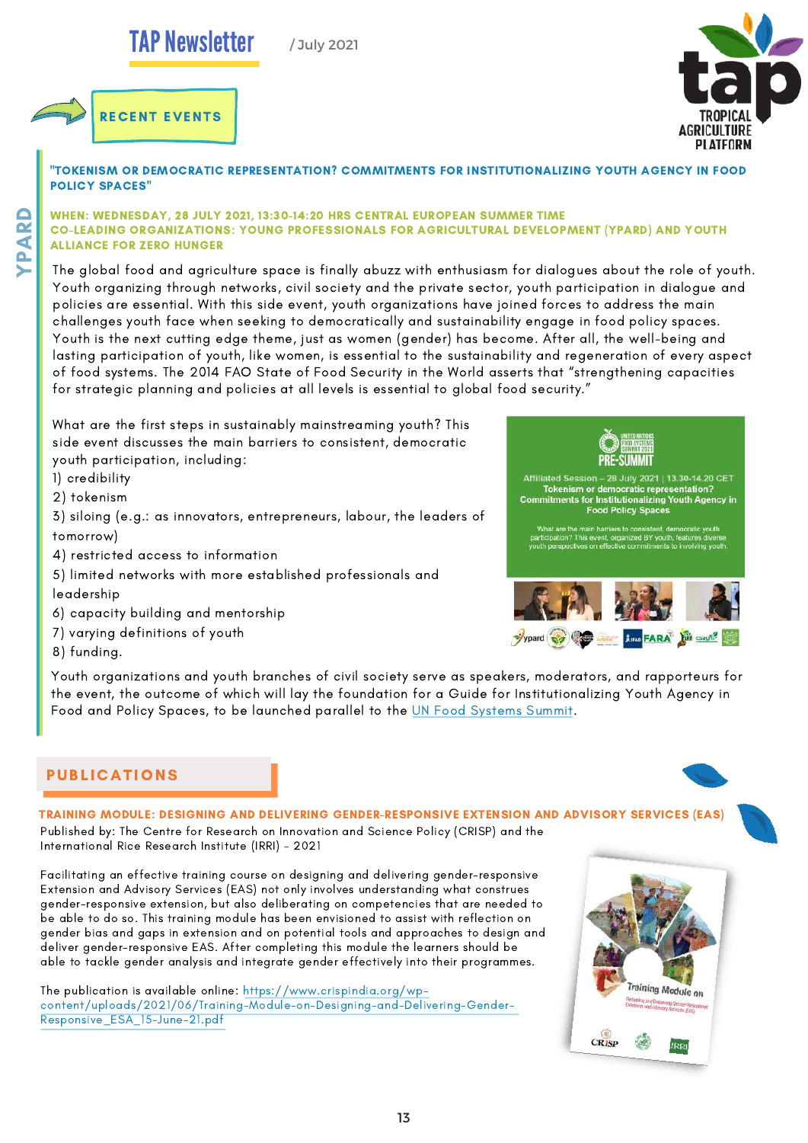# **TAP Newsletter**

/ July 2021





"TOKENISM OR DEMOCRATIC REPRESENTATION? COMMITMENTS FOR INSTITUTIONALIZING YOUTH AGENCY IN FOOD POLICY SPACES"

#### WHEN: WEDNESDAY, 28 JULY 2021, 13:30-14:20 HRS CENTRAL EUROPEAN SUMMER TIME CO-LEADING ORGANIZATIONS: YOUNG PROFESSIONALS FOR AGRICULTURAL DEVELOPMENT (YPARD) AND YOUTH ALLIANCE FOR ZERO HUNGER

 Youth organizing through networks, civil society and the private sector, youth participation in dialogue and The global food and agriculture space is finally abuzz with enthusiasm for dialogues about the role of youth. policies are essential. With this side event, youth organizations have joined forces to address the main challenges youth face when seeking to democratically and sustainability engage in food policy spaces. Youth is the next cutting edge theme, just as women (gender) has become. After all, the well-being and lasting participation of youth, like women, is essential to the sustainability and regeneration of every aspect of food systems. The 2014 FAO State of Food Security in the World asserts that "strengthening capacities for strategic planning and policies at all levels is essential to global food security."

What are the first steps in sustainably mainstreaming youth? This side event discusses the main barriers to consistent, democratic youth participation, including:

1) credibility

 $\blacktriangleright$ 

 $\mathbf{r}$ A $\boldsymbol{\alpha}$  $\Box$ 

2) tokenism

3) siloing (e.g.: as innovators, entrepreneurs, labour, the leaders of tomorrow)

4) restricted access to information

- 5) limited networks with more established professionals and leadership
- 6) capacity building and mentorship
- 7) varying definitions of youth
- 8) funding.







Youth organizations and youth branches of civil society serve as speakers, moderators, and rapporteurs for the event, the outcome of which will lay the foundation for a Guide for Institutionalizing Youth Agency in Food and Policy Spaces, to be launched parallel to the UN Food [Systems](https://www.un.org/en/food-systems-summit) Summit[.](https://www.un.org/en/food-systems-summit)

#### **PUBLICATIONS**

#### TRAINING MODULE: DESIGNING AND DELIVERING GENDER-RESPONSIVE EXTENSION AND ADVISORY SERVICES (EAS)

Published by: The Centre for Research on Innovation and Science Policy (CRISP) and the International Rice Research Institute (IRRI) – 2021

Facilitating an effective training course on designing and delivering gender-responsive Extension and Advisory Services (EAS) not only involves understanding what construes gender-responsive extension, but also deliberating on competencies that are needed to be able to do so. This training module has been envisioned to assist with reflection on gender bias and gaps in extension and on potential tools and approaches to design and deliver gender-responsive EAS. After completing this module the learners should be able to tackle gender analysis and integrate gender effectively into their programmes.

The publication is available online: [https://www.crispindia.org/wp](https://www.crispindia.org/wp-content/uploads/2021/06/Training-Module-on-Designing-and-Delivering-Gender-Responsive_ESA_15-June-21.pdf)[content/uploads/2021/06/Training-Module-on-Designing-and-Delivering-Gender-](https://www.crispindia.org/wp-content/uploads/2021/06/Training-Module-on-Designing-and-Delivering-Gender-Responsive_ESA_15-June-21.pdf)[Responsive\\_ESA\\_15-June-21.pdf](https://www.crispindia.org/wp-content/uploads/2021/06/Training-Module-on-Designing-and-Delivering-Gender-Responsive_ESA_15-June-21.pdf)